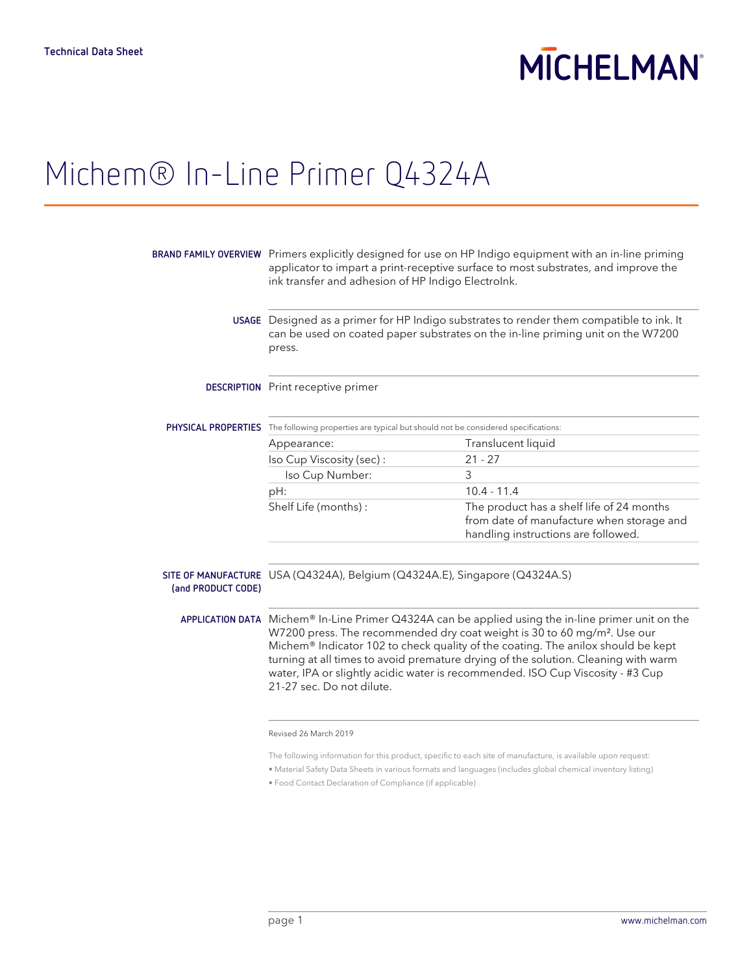## **MICHELMAN**

### Michem® In-Line Primer Q4324A

|                    | BRAND FAMILY OVERVIEW Primers explicitly designed for use on HP Indigo equipment with an in-line priming<br>applicator to impart a print-receptive surface to most substrates, and improve the<br>ink transfer and adhesion of HP Indigo Electrolnk.                                                                                                                                                                                                                                  |                                                                                                                               |  |
|--------------------|---------------------------------------------------------------------------------------------------------------------------------------------------------------------------------------------------------------------------------------------------------------------------------------------------------------------------------------------------------------------------------------------------------------------------------------------------------------------------------------|-------------------------------------------------------------------------------------------------------------------------------|--|
|                    | USAGE Designed as a primer for HP Indigo substrates to render them compatible to ink. It<br>can be used on coated paper substrates on the in-line priming unit on the W7200<br>press.                                                                                                                                                                                                                                                                                                 |                                                                                                                               |  |
|                    | <b>DESCRIPTION</b> Print receptive primer                                                                                                                                                                                                                                                                                                                                                                                                                                             |                                                                                                                               |  |
|                    | PHYSICAL PROPERTIES The following properties are typical but should not be considered specifications:                                                                                                                                                                                                                                                                                                                                                                                 |                                                                                                                               |  |
|                    | Appearance:                                                                                                                                                                                                                                                                                                                                                                                                                                                                           | Translucent liquid                                                                                                            |  |
|                    | Iso Cup Viscosity (sec):                                                                                                                                                                                                                                                                                                                                                                                                                                                              | $21 - 27$                                                                                                                     |  |
|                    | Iso Cup Number:                                                                                                                                                                                                                                                                                                                                                                                                                                                                       | 3                                                                                                                             |  |
|                    | pH:                                                                                                                                                                                                                                                                                                                                                                                                                                                                                   | $10.4 - 11.4$                                                                                                                 |  |
|                    | Shelf Life (months):                                                                                                                                                                                                                                                                                                                                                                                                                                                                  | The product has a shelf life of 24 months<br>from date of manufacture when storage and<br>handling instructions are followed. |  |
| (and PRODUCT CODE) | SITE OF MANUFACTURE USA (Q4324A), Belgium (Q4324A.E), Singapore (Q4324A.S)                                                                                                                                                                                                                                                                                                                                                                                                            |                                                                                                                               |  |
|                    | APPLICATION DATA Michem® In-Line Primer $Q4324A$ can be applied using the in-line primer unit on the<br>W7200 press. The recommended dry coat weight is 30 to 60 mg/m <sup>2</sup> . Use our<br>Michem® Indicator 102 to check quality of the coating. The anilox should be kept<br>turning at all times to avoid premature drying of the solution. Cleaning with warm<br>water, IPA or slightly acidic water is recommended. ISO Cup Viscosity - #3 Cup<br>21-27 sec. Do not dilute. |                                                                                                                               |  |
|                    | Revised 26 March 2019                                                                                                                                                                                                                                                                                                                                                                                                                                                                 |                                                                                                                               |  |
|                    |                                                                                                                                                                                                                                                                                                                                                                                                                                                                                       |                                                                                                                               |  |

The following information for this product, specific to each site of manufacture, is available upon request:

• Material Safety Data Sheets in various formats and languages (includes global chemical inventory listing)

• Food Contact Declaration of Compliance (if applicable)